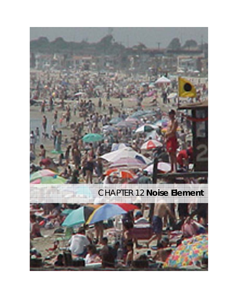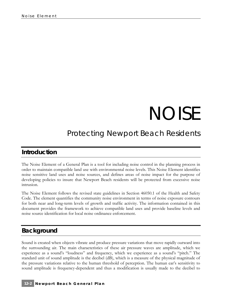# NOISE

## *Protecting Newport Beach Residents*

### **Introduction**

The Noise Element of a General Plan is a tool for including noise control in the planning process in order to maintain compatible land use with environmental noise levels. This Noise Element identifies noise sensitive land uses and noise sources, and defines areas of noise impact for the purpose of developing policies to insure that Newport Beach residents will be protected from excessive noise intrusion.

The Noise Element follows the revised state guidelines in Section 46050.1 of the Health and Safety Code. The element quantifies the community noise environment in terms of noise exposure contours for both near and long-term levels of growth and traffic activity. The information contained in this document provides the framework to achieve compatible land uses and provide baseline levels and noise source identification for local noise ordinance enforcement.

## **Background**

Sound is created when objects vibrate and produce pressure variations that move rapidly outward into the surrounding air. The main characteristics of these air pressure waves are amplitude, which we experience as a sound's "loudness" and frequency, which we experience as a sound's "pitch." The standard unit of sound amplitude is the decibel (dB), which is a measure of the physical magnitude of the pressure variations relative to the human threshold of perception. The human ear's sensitivity to sound amplitude is frequency-dependent and thus a modification is usually made to the decibel to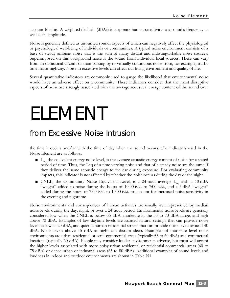account for this; A-weighted decibels (dBAs) incorporate human sensitivity to a sound's frequency as well as its amplitude.

Noise is generally defined as unwanted sound, aspects of which can negatively affect the physiological or psychological well-being of individuals or communities. A typical noise environment consists of a base of steady ambient noise that is the sum of many distant and indistinguishable noise sources. Superimposed on this background noise is the sound from individual local sources. These can vary from an occasional aircraft or train passing by to virtually continuous noise from, for example, traffic on a major highway. Noise in excessive levels can affect our living environment and quality of life.

Several quantitative indicators are commonly used to gauge the likelihood that environmental noise would have an adverse effect on a community. These indicators consider that the most disruptive aspects of noise are strongly associated with the average acoustical energy content of the sound over

# ELEMENT

## *from Excessive Noise Intrusion*

the time it occurs and/or with the time of day when the sound occurs. The indicators used in the Noise Element are as follows:

- L<sub>eq</sub>, the equivalent energy noise level, is the average acoustic energy content of noise for a stated period of time. Thus, the Leq of a time-varying noise and that of a steady noise are the same if they deliver the same acoustic energy to the ear during exposure. For evaluating community impacts, this indicator is not affected by whether the noise occurs during the day or the night.
- CNEL, the Community Noise Equivalent Level, is a 24-hour average L<sub>eq</sub> with a 10 dBA "weight" added to noise during the hours of 10:00 P.M. to 7:00 A.M., and a 5 dBA "weight" added during the hours of 7:00 P.M. to 10:00 P.M. to account for increased noise sensitivity in the evening and nighttime.

Noise environments and consequences of human activities are usually well represented by median noise levels during the day, night, or over a 24-hour period. Environmental noise levels are generally considered low when the CNEL is below 55 dBA, moderate in the 55 to 70 dBA range, and high above 70 dBA. Examples of low daytime levels are isolated natural settings that can provide noise levels as low as 20 dBA, and quiet suburban residential streets that can provide noise levels around 40 dBA. Noise levels above 45 dBA at night can disrupt sleep. Examples of moderate level noise environments are urban residential or semi-commercial areas (typically 55 to 60 dBA) and commercial locations (typically 60 dBA). People may consider louder environments adverse, but most will accept the higher levels associated with more noisy urban residential or residential-commercial areas (60 to 75 dBA) or dense urban or industrial areas (65 to 80 dBA). Additional examples of sound levels and loudness in indoor and outdoor environments are shown in Table N1.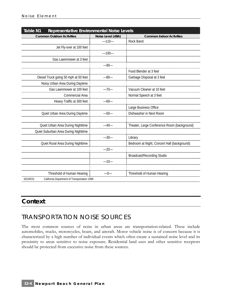| <b>Table N1</b><br>Representative Environmental Noise Levels |                   |                                             |
|--------------------------------------------------------------|-------------------|---------------------------------------------|
| <b>Common Outdoor Activities</b>                             | Noise Level (dBA) | <b>Common Indoor Activities</b>             |
|                                                              | $-110-$           | Rock Band                                   |
| Jet Fly-over at 100 feet                                     |                   |                                             |
|                                                              | $-100-$           |                                             |
| Gas Lawnmower at 3 feet                                      |                   |                                             |
|                                                              | $-90-$            |                                             |
|                                                              |                   | Food Blender at 3 feet                      |
| Diesel Truck going 50 mph at 50 feet                         | $-80-$            | Garbage Disposal at 3 feet                  |
| Noisy Urban Area During Daytime                              |                   |                                             |
| Gas Lawnmower at 100 feet                                    | $-70-$            | Vacuum Cleaner at 10 feet                   |
| Commercial Area                                              |                   | Normal Speech at 3 feet                     |
| Heavy Traffic at 300 feet                                    | $-60-$            |                                             |
|                                                              |                   | Large Business Office                       |
| Quiet Urban Area During Daytime                              | $-50-$            | Dishwasher in Next Room                     |
|                                                              |                   |                                             |
| Quiet Urban Area During Nighttime                            | $-40-$            | Theater, Large Conference Room (background) |
| Quiet Suburban Area During Nighttime                         |                   |                                             |
|                                                              | $-30-$            | Library                                     |
| Quiet Rural Area During Nighttime                            |                   | Bedroom at Night, Concert Hall (background) |
|                                                              | $-20-$            |                                             |
|                                                              |                   | <b>Broadcast/Recording Studio</b>           |
|                                                              | $-10-$            |                                             |
|                                                              |                   |                                             |
| Threshold of Human Hearing                                   | $-0-$             | Threshold of Human Hearing                  |
| SOURCE:<br>California Department of Transportation 1998      |                   |                                             |

## **Context**

## TRANSPORTATION NOISE SOURCES

The most common sources of noise in urban areas are transportation-related. These include automobiles, trucks, motorcycles, boats, and aircraft. Motor vehicle noise is of concern because it is characterized by a high number of individual events which often create a sustained noise level and its proximity to areas sensitive to noise exposure. Residential land uses and other sensitive receptors should be protected from excessive noise from these sources.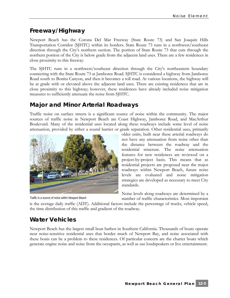## **Freeway/Highway**

Newport Beach has the Corona Del Mar Freeway (State Route 73) and San Joaquin Hills Transportation Corridor (SJHTC) within its borders. State Route 73 runs in a northwest/southeast direction through the City's northern section. The portion of State Route 73 that cuts through the northern portion of the City is below grade from the adjacent land uses. There are a few residences in close proximity to this freeway.

The SJHTC runs in a northwest/southeast direction through the City's northeastern boundary connecting with the State Route 73 at Jamboree Road. SJHTC is considered a highway from Jamboree Road south to Bonita Canyon, and then it becomes a toll road. At various locations, the highway will be at grade with or elevated above the adjacent land uses. There are existing residences that are in close proximity to this highway; however, these residences have already included noise mitigation measures to sufficiently attenuate the noise from SJHTC.

## **Major and Minor Arterial Roadways**

Traffic noise on surface streets is a significant source of noise within the community. The major sources of traffic noise in Newport Beach are Coast Highway, Jamboree Road, and MacArthur Boulevard. Many of the residential uses located along these roadways include some level of noise attenuation, provided by either a sound barrier or grade separation. Other residential uses, primarily



*Traffic is a source of noise within Newport Beach* 

older units, built near these arterial roadways do not have any attenuation from noise other than the distance between the roadway and the residential structure. The noise attenuation features for new residences are reviewed on a project-by-project basis. This means that as residential projects are proposed near the major roadways within Newport Beach, future noise levels are evaluated and noise mitigation strategies are developed as necessary to meet City standards.

Noise levels along roadways are determined by a number of traffic characteristics. Most important

is the average daily traffic (ADT). Additional factors include the percentage of trucks, vehicle speed, the time distribution of this traffic and gradient of the roadway.

## **Water Vehicles**

Newport Beach has the largest small boat harbor in Southern California. Thousands of boats operate near noise-sensitive residential uses that border much of Newport Bay, and noise associated with these boats can be a problem to these residences. Of particular concern are the charter boats which generate engine noise and noise from the occupants, as well as use loudspeakers or live entertainment.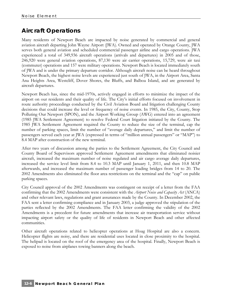## **Aircraft Operations**

Many residents of Newport Beach are impacted by noise generated by commercial and general aviation aircraft departing John Wayne Airport (JWA). Owned and operated by Orange County, JWA serves both general aviation and scheduled commercial passenger airline and cargo operations. JWA experienced a total of 349,936 aircraft operations (arrivals and departures) in 2005 and of those, 246,920 were general aviation operations, 87,130 were air carrier operations, 15,729, were air taxi (commuter) operations and 157 were military operations. Newport Beach is located immediately south of JWA and is under the primary departure corridor. Although aircraft noise can be heard throughout Newport Beach, the highest noise levels are experienced just south of JWA, in the Airport Area, Santa Ana Heights Area, Westcliff, Dover Shores, the Bluffs, and Balboa Island, and are generated by aircraft departures.

Newport Beach has, since the mid-1970s, actively engaged in efforts to minimize the impact of the airport on our residents and their quality of life. The City's initial efforts focused on involvement in route authority proceedings conducted by the Civil Aviation Board and litigation challenging County decisions that could increase the level or frequency of noise events. In 1985, the City, County, Stop Polluting Our Newport (SPON), and the Airport Working Group (AWG) entered into an agreement (1985 JWA Settlement Agreement) to resolve Federal Court litigation initiated by the County. The 1985 JWA Settlement Agreement required the County to reduce the size of the terminal, cap the number of parking spaces, limit the number of "average daily departures," and limit the number of passengers served each year at JWA (expressed in terms of "million annual passengers" or "MAP") to 8.4 MAP after construction of the new terminal.

After two years of discussion among the parties to the Settlement Agreement, the City Council and County Board of Supervisors approved Settlement Agreement amendments that eliminated noisier aircraft, increased the maximum number of noise regulated and air cargo average daily departures, increased the service level limit from 8.4 to 10.3 MAP until January 1, 2011, and then 10.8 MAP afterwards, and increased the maximum number of passenger loading bridges from 14 to 20. The 2002 Amendments also eliminated the floor area restrictions on the terminal and the "cap" on public parking spaces.

City Council approval of the 2002 Amendments was contingent on receipt of a letter from the FAA confirming that the 2002 Amendments were consistent with the *Airport Noise and Capacity Act* (ANCA) and other relevant laws, regulations and grant assurances made by the County. In December 2002, the FAA sent a letter confirming compliance and in January 2003, a judge approved the stipulation of the parties reflected by the 2002 Amendments. The FAA letter confirming the validity of the 2002 Amendments is a precedent for future amendments that increase air transportation service without impacting airport safety or the quality of life of residents in Newport Beach and other affected communities.

Other aircraft operations related to helicopter operations at Hoag Hospital are also a concern. Helicopter flights are noisy, and there are residential uses located in close proximity to the hospital. The helipad is located on the roof of the emergency area of the hospital. Finally, Newport Beach is exposed to noise from airplanes towing banners along the beach.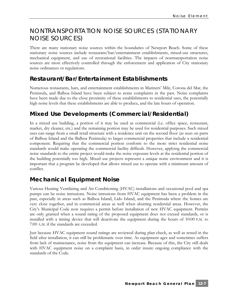## NONTRANSPORTATION NOISE SOURCES (STATIONARY NOISE SOURCES)

There are many stationary noise sources within the boundaries of Newport Beach. Some of these stationary noise sources include restaurant/bar/entertainment establishments, mixed-use structures, mechanical equipment, and use of recreational facilities. The impacts of nontransportation noise sources are most effectively controlled through the enforcement and application of City stationary noise ordinances or regulations.

## **Restaurant/Bar/Entertainment Establishments**

Numerous restaurants, bars, and entertainment establishments in Mariners' Mile, Corona del Mar, the Peninsula, and Balboa Island have been subject to noise complaints in the past. Noise complaints have been made due to the close proximity of these establishments to residential uses, the potentially high noise levels that these establishments are able to produce, and the late hours of operation.

## **Mixed Use Developments (Commercial/Residential)**

In a mixed use building, a portion of it may be used as commercial (i.e. office space, restaurant, market, dry cleaner, etc.) and the remaining portion may be used for residential purposes. Such mixed uses can range from a small retail structure with a residence unit on the second floor (as seen on parts of Balboa Island and the Balboa Peninsula) to larger commercial properties that include a residential component. Requiring that the commercial portion conform to the more strict residential noise standards would make operating the commercial facility difficult. However, applying the commercial noise standards to the entire project would make the noise exposure levels at the residential portion of the building potentially too high. Mixed use projects represent a unique noise environment and it is important that a program be developed that allows mixed use to operate with a minimum amount of conflict.

## **Mechanical Equipment Noise**

Various Heating Ventilating and Air Conditioning (HVAC) installations and occasional pool and spa pumps can be noise intrusions. Noise intrusions from HVAC equipment has been a problem in the past, especially in areas such as Balboa Island, Lido Island, and the Peninsula where the homes are very close together, and in commercial areas as well when abutting residential areas. However, the City's Municipal Code now requires a permit before installation of new HVAC equipment. Permits are only granted when a sound rating of the proposed equipment does not exceed standards, or is installed with a timing device that will deactivate the equipment during the hours of 10:00 P.M. to 7:00 A.M. if the standards are exceeded.

Just because HVAC equipment sound ratings are reviewed during plan check, as well as tested in the field after installation, it can still be problematic over time. As equipment ages and sometimes suffers from lack of maintenance, noise from the equipment can increase. Because of this, the City still deals with HVAC equipment noise on a complaint basis, in order insure ongoing compliance with the standards of the Code.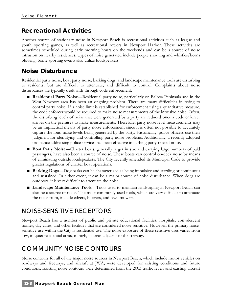## **Recreational Activities**

Another source of stationary noise in Newport Beach is recreational activities such as league and youth sporting games, as well as recreational rowers in Newport Harbor. These activities are sometimes scheduled during early morning hours on the weekends and can be a source of noise intrusion on nearby residences. Types of noise generated include people shouting and whistles/horns blowing. Some sporting events also utilize loudspeakers.

## **Noise Disturbance**

Residential party noise, boat party noise, barking dogs, and landscape maintenance tools are disturbing to residents, but are difficult to attenuate, and difficult to control. Complaints about noise disturbances are typically dealt with through code enforcement.

- **Residential Party Noise—Residential party noise, particularly on Balboa Peninsula and in the** West Newport area has been an ongoing problem. There are many difficulties in trying to control party noise. If a noise limit is established for enforcement using a quantitative measure, the code enforcer would be required to make noise measurements of the intrusive noise. Often, the disturbing levels of noise that were generated by a party are reduced once a code enforcer arrives on the premises to make measurements. Therefore, party noise level measurements may be an impractical means of party noise enforcement since it is often not possible to accurately capture the loud noise levels being generated by the party. Historically, police officers use their judgment for identifying and controlling party noise problems. Additionally, a recently adopted ordinance addressing police services has been effective in curbing party-related noise.
- **Boat Party Noise—Charter boats, generally larger in size and carrying large numbers of paid** passengers, have also been a source of noise. These boats can control on-deck noise by means of eliminating outside loudspeakers. The City recently amended its Municipal Code to provide greater regulations of charter boat operations.
- **Barking Dogs**—Dog barks can be characterized as being impulsive and startling or continuous and sustained. In either event, it can be a major source of noise disturbance. When dogs are outdoors, it is very difficult to attenuate the noise.
- **Landscape Maintenance Tools**—Tools used to maintain landscaping in Newport Beach can also be a source of noise. The most commonly-used tools, which are very difficult to attenuate the noise from, include edgers, blowers, and lawn mowers.

## NOISE-SENSITIVE RECEPTORS

Newport Beach has a number of public and private educational facilities, hospitals, convalescent homes, day cares, and other facilities that are considered noise sensitive. However, the primary noisesensitive use within the City is residential use. The noise exposure of these sensitive uses varies from low, in quiet residential areas, to high, in areas adjacent to the freeway.

## COMMUNITY NOISE CONTOURS

Noise contours for all of the major noise sources in Newport Beach, which include motor vehicles on roadways and freeways, and aircraft at JWA, were developed for existing conditions and future conditions. Existing noise contours were determined from the 2003 traffic levels and existing aircraft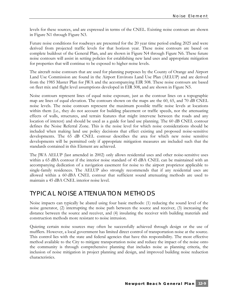levels for these sources, and are expressed in terms of the CNEL. Existing noise contours are shown in Figure N1 through Figure N3.

Future noise conditions for roadways are presented for the 20 year time period ending 2025 and were derived from projected traffic levels for that horizon year. These noise contours are based on complete buildout of the General Plan, and are shown in Figure N4 through Figure N6. These future noise contours will assist in setting policies for establishing new land uses and appropriate mitigation for properties that will continue to be exposed to higher noise levels.

The aircraft noise contours that are used for planning purposes by the County of Orange and Airport Land Use Commission are found in the Airport Environs Land Use Plan (AELUP) and are derived from the 1985 Master Plan for JWA and the accompanying EIR 508. These noise contours are based on fleet mix and flight level assumptions developed in EIR 508, and are shown in Figure N5.

Noise contours represent lines of equal noise exposure, just as the contour lines on a topographic map are lines of equal elevation. The contours shown on the maps are the 60, 65, and 70 dB CNEL noise levels. The noise contours represent the maximum possible traffic noise levels at locations within them (i.e., they do not account for building placement or traffic speeds, nor the attenuating effects of walls, structures, and terrain features that might intervene between the roads and any location of interest) and should be used as a guide for land use planning. The 60 dB CNEL contour defines the Noise Referral Zone. This is the noise level for which noise considerations should be included when making land use policy decisions that effect existing and proposed noise-sensitive developments. The 65 dB CNEL contour describes the area for which new noise sensitive developments will be permitted only if appropriate mitigation measures are included such that the standards contained in this Element are achieved.

The JWA AELUP (last amended in 2002) only allows residential uses and other noise-sensitive uses within a 65 dBA contour if the interior noise standard of 45 dBA CNEL can be maintained with an accompanying dedication of a navigation easement for noise to the airport proprietor applicable to single-family residences. The AELUP also strongly recommends that if any residential uses are allowed within a 60 dBA CNEL contour that sufficient sound attenuating methods are used to maintain a 45 dBA CNEL interior noise level.

## TYPICAL NOISE ATTENUATION METHODS

Noise impacts can typically be abated using four basic methods: (1) reducing the sound level of the noise generator, (2) interrupting the noise path between the source and receiver, (3) increasing the distance between the source and receiver, and (4) insulating the receiver with building materials and construction methods more resistant to noise intrusion.

Quieting certain noise sources may often be successfully achieved through design or the use of mufflers. However, a local government has limited direct control of transportation noise at the source. This control lies with the state and federal agencies that have this responsibility. The most effective method available to the City to mitigate transportation noise and reduce the impact of the noise onto the community is through comprehensive planning that includes noise as planning criteria, the inclusion of noise mitigation in project planning and design, and improved building noise reduction characteristics.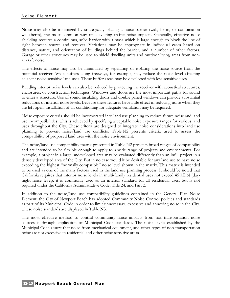Noise may also be minimized by strategically placing a noise barrier (wall, berm, or combination wall/berm), the most common way of alleviating traffic noise impacts. Generally, effective noise shielding requires a continuous, solid barrier with a mass which is large enough to block the line of sight between source and receiver. Variations may be appropriate in individual cases based on distance, nature, and orientation of buildings behind the barrier, and a number of other factors. Garage or other structures may be used to shield dwelling units and outdoor living areas from nonaircraft noise.

The effects of noise may also be minimized by separating or isolating the noise source from the potential receiver. Wide buffers along freeways, for example, may reduce the noise level affecting adjacent noise sensitive land uses. These buffer areas may be developed with less sensitive uses.

Building interior noise levels can also be reduced by protecting the receiver with acoustical structures, enclosures, or construction techniques. Windows and doors are the most important paths for sound to enter a structure. Use of sound insulating doors and double paned windows can provide substantial reductions of interior noise levels. Because these features have little effect in reducing noise when they are left open, installation of air conditioning for adequate ventilation may be required.

Noise exposure criteria should be incorporated into land use planning to reduce future noise and land use incompatibilities. This is achieved by specifying acceptable noise exposure ranges for various land uses throughout the City. These criteria are designed to integrate noise considerations into land use planning to prevent noise/land use conflicts. Table N2 presents criteria used to assess the compatibility of proposed land uses with the noise environment.

The noise/land use compatibility matrix presented in Table N2 presents broad ranges of compatibility and are intended to be flexible enough to apply to a wide range of projects and environments. For example, a project in a large undeveloped area may be evaluated differently than an infill project in a densely developed area of the City. But in no case would it be desirable for any land use to have noise exceeding the highest "normally compatible" noise level shown in the matrix. This matrix is intended to be used as one of the many factors used in the land use planning process. It should be noted that California requires that interior noise levels in multi-family residential uses not exceed 45 LDN (daynight noise level); it is commonly used as an interior standard for all residential uses, but is not required under the California Administrative Code, Title 24, and Part 2.

In addition to the noise/land use compatibility guidelines contained in the General Plan Noise Element, the City of Newport Beach has adopted Community Noise Control policies and standards as part of its Municipal Code in order to limit unnecessary, excessive and annoying noise in the City. These noise standards are displayed in Table N3.

The most effective method to control community noise impacts from non-transportation noise sources is through application of Municipal Code standards. The noise levels established by the Municipal Code assure that noise from mechanical equipment, and other types of non-transportation noise are not excessive in residential and other noise-sensitive areas.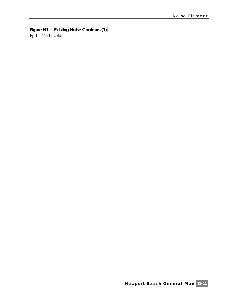#### **Figure N1 Existing Noise Contours (1)**

Pg 1—11x17 color

**Newport Beach General Plan 12-11**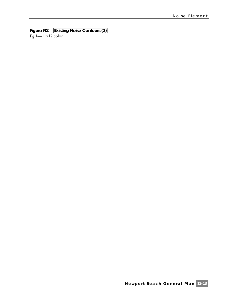#### **Figure N2 Existing Noise Contours (2)**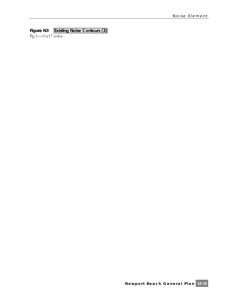#### **Figure N3 Existing Noise Contours (3)**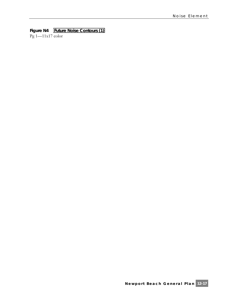#### **Figure N4 Future Noise Contours (1)**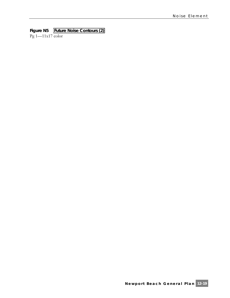#### **Figure N5 Future Noise Contours (2)**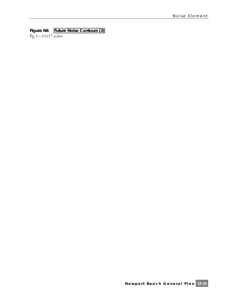#### **Figure N6 Future Noise Contours (3)**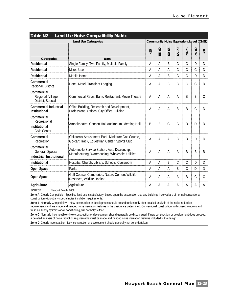| Table N2<br><b>Land Use Noise Compatibility Matrix</b>                       |                                                                                                    |    |           |               |               |               |              |                 |
|------------------------------------------------------------------------------|----------------------------------------------------------------------------------------------------|----|-----------|---------------|---------------|---------------|--------------|-----------------|
| <b>Land Use Categories</b><br><b>Community Noise Equivalent Level (CNEL)</b> |                                                                                                    |    |           |               |               |               |              |                 |
| Categories                                                                   | Uses                                                                                               | 55 | $55 - 60$ | $60 - 65$     | $65 - 70$     | $70 - 75$     | $5 - 80$     | 30 <sub>8</sub> |
| <b>Residential</b>                                                           | Single Family, Two Family, Multiple Family                                                         | Α  | A         | B             | $\mathcal{C}$ | $\mathcal{C}$ | D            | D               |
| <b>Residential</b>                                                           | Mixed Use                                                                                          | А  | Α         | A             | C             | $\mathcal{C}$ | C            | D               |
| <b>Residential</b>                                                           | Mobile Home                                                                                        | Α  | A         | B             | C             | $\mathcal{C}$ | D            | D               |
| Commercial<br>Regional, District                                             | Hotel, Motel, Transient Lodging                                                                    | A  | А         | B             | B             | C             | C            | D               |
| Commercial<br>Regional, Village<br>District, Special                         | Commercial Retail, Bank, Restaurant, Movie Theatre                                                 | A  | A         | A             | A             | B             | <sub>B</sub> | C               |
| <b>Commercial Industrial</b><br>Institutional                                | Office Building, Research and Development,<br>Professional Offices, City Office Building           | Α  | A         | A             | <sub>B</sub>  | B             | C            | D               |
| Commercial<br>Recreational<br>Institutional<br>Civic Center                  | Amphitheatre, Concert Hall Auditorium, Meeting Hall                                                | B  | B         | $\mathcal{C}$ | $\mathcal{C}$ | D             | D            | D               |
| Commercial<br>Recreation                                                     | Children's Amusement Park, Miniature Golf Course,<br>Go-cart Track, Equestrian Center, Sports Club | A  | Α         | A             | <sub>B</sub>  | B             | D            | D               |
| Commercial<br>General, Special<br>Industrial, Institutional                  | Automobile Service Station, Auto Dealership,<br>Manufacturing, Warehousing, Wholesale, Utilities   | Α  | А         | А             | A             | B             | B            | B               |
| <b>Institutional</b>                                                         | Hospital, Church, Library, Schools' Classroom                                                      | Α  | Α         | B             | C             | $\mathsf C$   | D            | D               |
| Open Space                                                                   | Parks                                                                                              | A  | Α         | А             | B             | $\mathcal{C}$ | D            | D               |
| Open Space                                                                   | Golf Course, Cemeteries, Nature Centers Wildlife<br>Reserves, Wildlife Habitat                     | Α  | Α         | A             | A             | B             | С            | C               |
| Agriculture                                                                  | Agriculture                                                                                        | Α  | Α         | А             | Α             | Α             | Α            | Α               |

SOURCE: Newport Beach, 2006

**Zone A**: Clearly Compatible—Specified land use is satisfactory, based upon the assumption that any buildings involved are of normal conventional construction without any special noise insulation requirements.

**Zone B**: Normally Compatible\*\*—New construction or development should be undertaken only after detailed analysis of the noise reduction requirements and are made and needed noise insulation features in the design are determined. Conventional construction, with closed windows and fresh air supply systems or air conditioning, will normally suffice.

Zone C: Normally Incompatible—New construction or development should generally be discouraged. If new construction or development does proceed, a detailed analysis of noise reduction requirements must be made and needed noise insulation features included in the design.

**Zone D**: Clearly Incompatible—New construction or development should generally not be undertaken.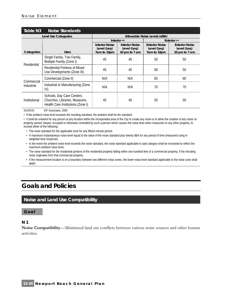| Table N3      | Noise Standards                                                                                  |                                                     |                                      |                                                     |                                      |  |
|---------------|--------------------------------------------------------------------------------------------------|-----------------------------------------------------|--------------------------------------|-----------------------------------------------------|--------------------------------------|--|
|               | <b>Land Use Categories</b>                                                                       |                                                     | Allowable Noise Levels (dBA)         |                                                     |                                      |  |
|               |                                                                                                  | Interior $a,b$                                      |                                      | Exterior <sup>a,b</sup>                             |                                      |  |
| Categories    | Uses                                                                                             | <b>Interior Noise</b><br>Level (Leg)<br>7am to 10pm | <b>Interior Noise</b><br>Level (Leg) | <b>Exterior Noise</b><br>Level (Leg)<br>7am to 10pm | <b>Exterior Noise</b><br>Level (Leg) |  |
|               |                                                                                                  |                                                     | 10 pm to 7 am                        |                                                     | 10 pm to 7 am                        |  |
| Residential   | Single Family, Two Family,<br>Multiple Family (Zone I)                                           | 45                                                  | 40                                   | 55                                                  | 50                                   |  |
|               | Residential Portions of Mixed<br>Use Developments (Zone III)                                     | 45                                                  | 40                                   | 60                                                  | 50                                   |  |
| Commercial    | Commercial (Zone II)                                                                             | N/A                                                 | N/A                                  | 65                                                  | 60                                   |  |
| Industrial    | Industrial or Manufacturing (Zone<br>IV)                                                         | N/A                                                 | N/A                                  | 70                                                  | 70                                   |  |
| Institutional | Schools, Day Care Centers,<br>Churches, Libraries, Museums,<br>Health Care Institutions (Zone I) | 45                                                  | 40                                   | 55                                                  | 50                                   |  |

SOURCE: EIP Associates, 2006

a If the ambient noise level exceeds the resulting standard, the ambient shall be the standard.

**b** It shall be unlawful for any person at any location within the incorporated area of the City to create any noise or to allow the creation of any noise on property owned, leased, occupied or otherwise controlled by such a person which causes the noise level when measured on any other property, to exceed either of the following:

• The noise standard for the applicable zone for any fifteen-minute period;

- A maximum instantaneous noise level equal to the value of the noise standard plus twenty dBA for any period of time (measured using Aweighted slow response).
- In the event the ambient noise level exceeds the noise standard, the noise standard applicable to said category shall be increased to reflect the maximum ambient noise level.
- The noise standard for the residential portions of the residential property falling within one hundred feet of a commercial property, if the intruding noise originates from that commercial property.
- If the measurement location is on a boundary between two different noise zones, the lower noise level standard applicable to the noise zone shall apply.

## **Goals and Policies**

#### **Noise and Land Use Compatibility**

#### **Goal**

#### **N 1**

**Noise Compatibility**—Minimized land use conflicts between various noise sources and other human activities.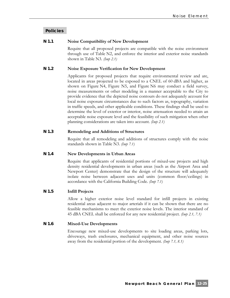#### **Policies**

#### **N 1.1 Noise Compatibility of New Development**

Require that all proposed projects are compatible with the noise environment through use of Table N2, and enforce the interior and exterior noise standards shown in Table N3. *(Imp 2.1)*

#### **N 1.2 Noise Exposure Verification for New Development**

Applicants for proposed projects that require environmental review and are, located in areas projected to be exposed to a CNEL of 60 dBA and higher, as shown on Figure N4, Figure N5, and Figure N6 may conduct a field survey, noise measurements or other modeling in a manner acceptable to the City to provide evidence that the depicted noise contours do not adequately account for local noise exposure circumstances due to such factors as, topography, variation in traffic speeds, and other applicable conditions. These findings shall be used to determine the level of exterior or interior, noise attenuation needed to attain an acceptable noise exposure level and the feasibility of such mitigation when other planning considerations are taken into account. *(Imp 2.1)*

#### **N 1.3 Remodeling and Additions of Structures**

Require that all remodeling and additions of structures comply with the noise standards shown in Table N3. *(Imp 7.1)*

#### **N 1.4 New Developments in Urban Areas**

Require that applicants of residential portions of mixed-use projects and high density residential developments in urban areas (such as the Airport Area and Newport Center) demonstrate that the design of the structure will adequately isolate noise between adjacent uses and units (common floor/ceilings) in accordance with the California Building Code. *(Imp 7.1)*

#### **N 1.5 Infill Projects**

Allow a higher exterior noise level standard for infill projects in existing residential areas adjacent to major arterials if it can be shown that there are no feasible mechanisms to meet the exterior noise levels. The interior standard of 45 dBA CNEL shall be enforced for any new residential project. *(Imp 2.1, 7.1)*

#### **N 1.6 Mixed-Use Developments**

Encourage new mixed-use developments to site loading areas, parking lots, driveways, trash enclosures, mechanical equipment, and other noise sources away from the residential portion of the development. *(Imp 7.1, 8.1)*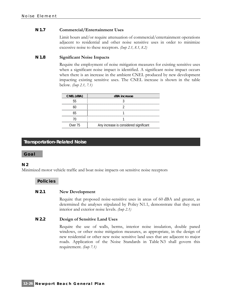#### **N 1.7 Commercial/Entertainment Uses**

Limit hours and/or require attenuation of commercial/entertainment operations adjacent to residential and other noise sensitive uses in order to minimize excessive noise to these receptors. *(Imp 2.1, 8.1, 8.2)*

#### **N 1.8 Significant Noise Impacts**

Require the employment of noise mitigation measures for existing sensitive uses when a significant noise impact is identified. A significant noise impact occurs when there is an increase in the ambient CNEL produced by new development impacting existing sensitive uses. The CNEL increase is shown in the table below. *(Imp 2.1, 7.1)*

| CNEL (dBA) | dBA increase                           |
|------------|----------------------------------------|
|            |                                        |
|            |                                        |
|            |                                        |
|            |                                        |
| Over 75    | Any increase is considered significant |

#### **Transportation-Related Noise**

#### **Goal**

#### **N 2**

Minimized motor vehicle traffic and boat noise impacts on sensitive noise receptors

#### **Policies**

#### **N 2.1 New Development**

Require that proposed noise-sensitive uses in areas of 60 dBA and greater, as determined the analyses stipulated by Policy N1.1, demonstrate that they meet interior and exterior noise levels. *(Imp 2.1)*

#### **N 2.2 Design of Sensitive Land Uses**

Require the use of walls, berms, interior noise insulation, double paned windows, or other noise mitigation measures, as appropriate, in the design of new residential or other new noise sensitive land uses that are adjacent to major roads. Application of the Noise Standards in Table N3 shall govern this requirement. *(Imp 7.1)*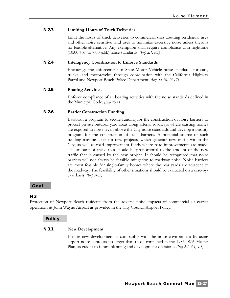#### **N 2.3 Limiting Hours of Truck Deliveries**

Limit the hours of truck deliveries to commercial uses abutting residential uses and other noise sensitive land uses to minimize excessive noise unless there is no feasible alternative. Any exemption shall require compliance with nighttime (10:00 P.M. to 7:00 A.M.) noise standards. *(Imp 2.1, 8.1)*

#### **N 2.4 Interagency Coordination to Enforce Standards**

Encourage the enforcement of State Motor Vehicle noise standards for cars, trucks, and motorcycles through coordination with the California Highway Patrol and Newport Beach Police Department. *(Imp 14.16, 14.17)*

#### **N 2.5 Boating Activities**

Enforce compliance of all boating activities with the noise standards defined in the Municipal Code. *(Imp 26.1)*

#### **N 2.6 Barrier Construction Funding**

Establish a program to secure funding for the construction of noise barriers to protect private outdoor yard areas along arterial roadways where existing homes are exposed to noise levels above the City noise standards and develop a priority program for the construction of such barriers. A potential source of such funding may be a fee for new projects, which generate new traffic within the City, as well as road improvement funds where road improvements are made. The amount of these fees should be proportional to the amount of the new traffic that is caused by the new project. It should be recognized that noise barriers will not always be feasible mitigation to roadway noise. Noise barriers are most feasible for single-family homes where the rear yards are adjacent to the roadway. The feasibility of other situations should be evaluated on a case-bycase basis. *(Imp 30.2)*

#### **Goal**

#### **N 3**

Protection of Newport Beach residents from the adverse noise impacts of commercial air carrier operations at John Wayne Airport as provided in the City Council Airport Policy.

#### **Policy**

#### **N 3.1 New Development**

Ensure new development is compatible with the noise environment by using airport noise contours no larger than those contained in the 1985 JWA Master Plan, as guides to future planning and development decisions. *(Imp 2.1, 3.1, 4.1)*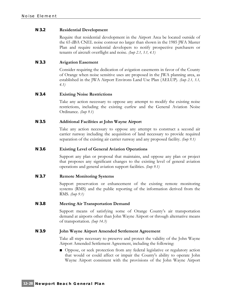#### **N 3.2 Residential Development**

Require that residential development in the Airport Area be located outside of the 65 dBA CNEL noise contour no larger than shown in the 1985 JWA Master Plan and require residential developers to notify prospective purchasers or tenants of aircraft overflight and noise. *(Imp 2.1, 3.1, 4.1)*

#### **N 3.3 Avigation Easement**

Consider requiring the dedication of avigation easements in favor of the County of Orange when noise sensitive uses are proposed in the JWA planning area, as established in the JWA Airport Environs Land Use Plan (AELUP). *(Imp 2.1, 3.1, 4.1)*

#### **N 3.4 Existing Noise Restrictions**

Take any action necessary to oppose any attempt to modify the existing noise restrictions, including the existing curfew and the General Aviation Noise Ordinance. *(Imp 9.1)*

#### **N 3.5 Additional Facilities at John Wayne Airport**

Take any action necessary to oppose any attempt to construct a second air carrier runway including the acquisition of land necessary to provide required separation of the existing air carrier runway and any proposed facility. *(Imp 9.1)*

#### **N 3.6 Existing Level of General Aviation Operations**

Support any plan or proposal that maintains, and oppose any plan or project that proposes any significant changes to the existing level of general aviation operations and general aviation support facilities. *(Imp 9.1)*

#### **N 3.7 Remote Monitoring Systems**

Support preservation or enhancement of the existing remote monitoring systems (RMS) and the public reporting of the information derived from the RMS. *(Imp 9.1)*

#### **N 3.8 Meeting Air Transportation Demand**

Support means of satisfying some of Orange County's air transportation demand at airports other than John Wayne Airport or through alternative means of transportation. *(Imp 14.3)*

#### **N 3.9 John Wayne Airport Amended Settlement Agreement**

Take all steps necessary to preserve and protect the validity of the John Wayne Airport Amended Settlement Agreement, including the following:

■ Oppose, or seek protection from any federal legislative or regulatory action that would or could affect or impair the County's ability to operate John Wayne Airport consistent with the provisions of the John Wayne Airport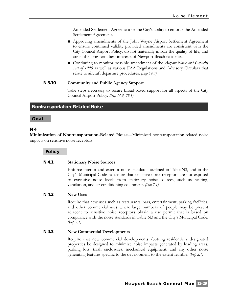Amended Settlement Agreement or the City's ability to enforce the Amended Settlement Agreement.

- Approving amendments of the John Wayne Airport Settlement Agreement to ensure continued validity provided amendments are consistent with the City Council Airport Policy, do not materially impair the quality of life, and are in the long-term best interests of Newport Beach residents.
- Continuing to monitor possible amendment of the *Airport Noise and Capacity Act of 1990* as well as various FAA Regulations and Advisory Circulars that relate to aircraft departure procedures. *(Imp 14.3)*

#### **N 3.10 Community and Public Agency Support**

Take steps necessary to secure broad-based support for all aspects of the City Council Airport Policy. *(Imp 14.3, 29.1)*

#### **Nontransportation-Related Noise**

#### **Goal**

#### **N 4**

**Minimization of Nontransportation-Related Noise**—Minimized nontransportation-related noise impacts on sensitive noise receptors.

**Policy** 

#### **N 4.1 Stationary Noise Sources**

Enforce interior and exterior noise standards outlined in Table N3, and in the City's Municipal Code to ensure that sensitive noise receptors are not exposed to excessive noise levels from stationary noise sources, such as heating, ventilation, and air conditioning equipment. *(Imp 7.1)*

#### **N 4.2 New Uses**

Require that new uses such as restaurants, bars, entertainment, parking facilities, and other commercial uses where large numbers of people may be present adjacent to sensitive noise receptors obtain a use permit that is based on compliance with the noise standards in Table N3 and the City's Municipal Code. *(Imp 2.1)*

#### **N 4.3 New Commercial Developments**

Require that new commercial developments abutting residentially designated properties be designed to minimize noise impacts generated by loading areas, parking lots, trash enclosures, mechanical equipment, and any other noise generating features specific to the development to the extent feasible. *(Imp 2.1)*